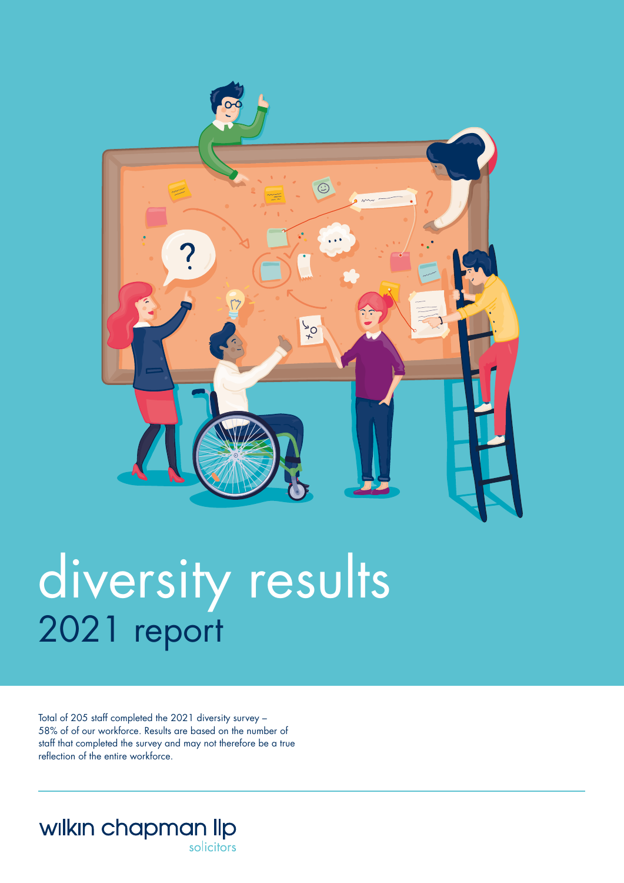

## diversity results 2021 report

Total of 205 staff completed the 2021 diversity survey – 58% of of our workforce. Results are based on the number of staff that completed the survey and may not therefore be a true reflection of the entire workforce.

wilkin chapman llp solicitors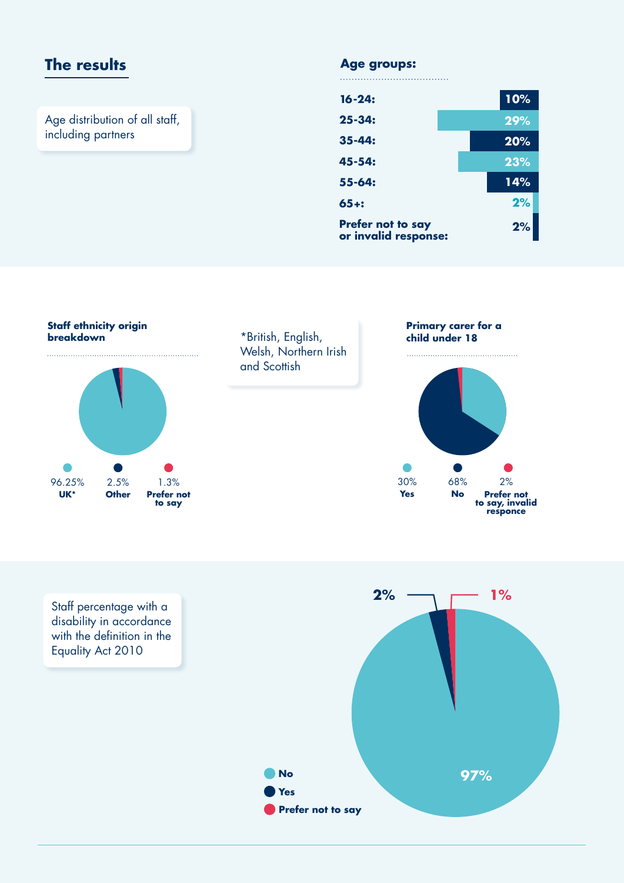## The results **Age groups:**

Age distribution of all staff, including partners

| $16 - 24:$                                | 10% |
|-------------------------------------------|-----|
| $25 - 34:$                                | 29% |
| $35 - 44:$                                | 20% |
| 45-54:                                    | 23% |
| $55 - 64:$                                | 14% |
| $65 +:$                                   | 2%  |
| Prefer not to say<br>or invalid response: | 2%  |